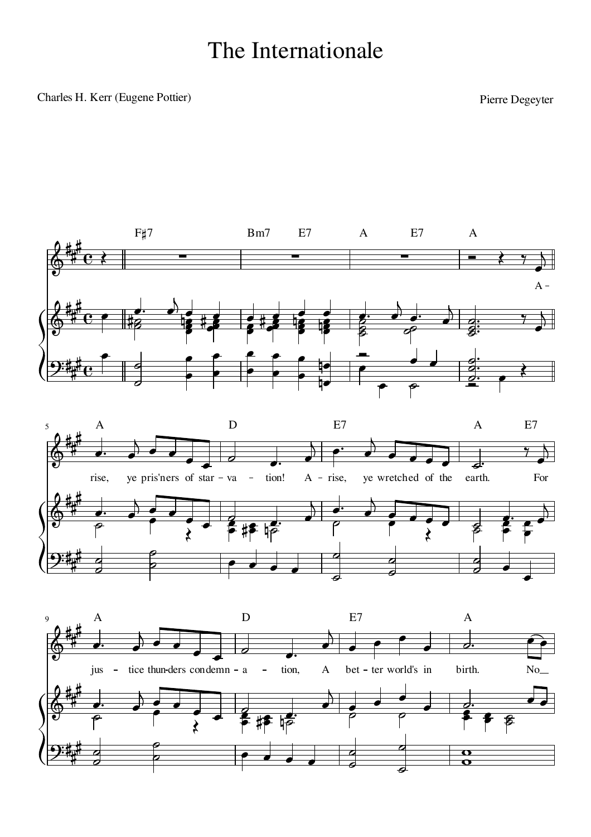### The Internationale

#### Charles H. Kerr (Eugene Pottier)

#### Pierre Degeyter





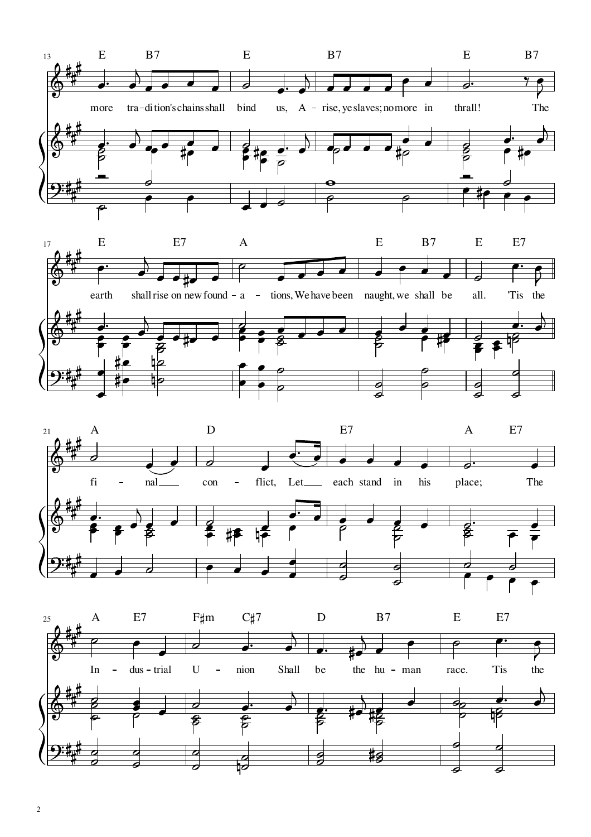





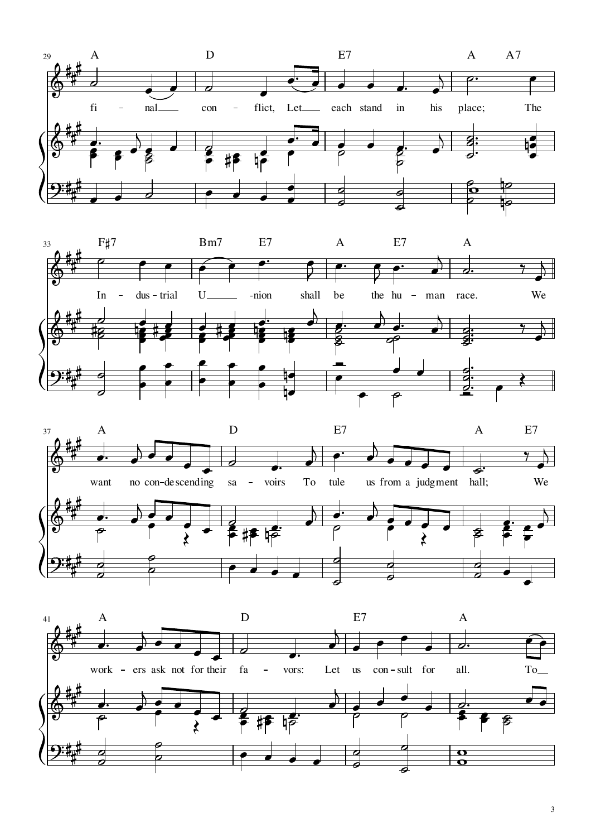





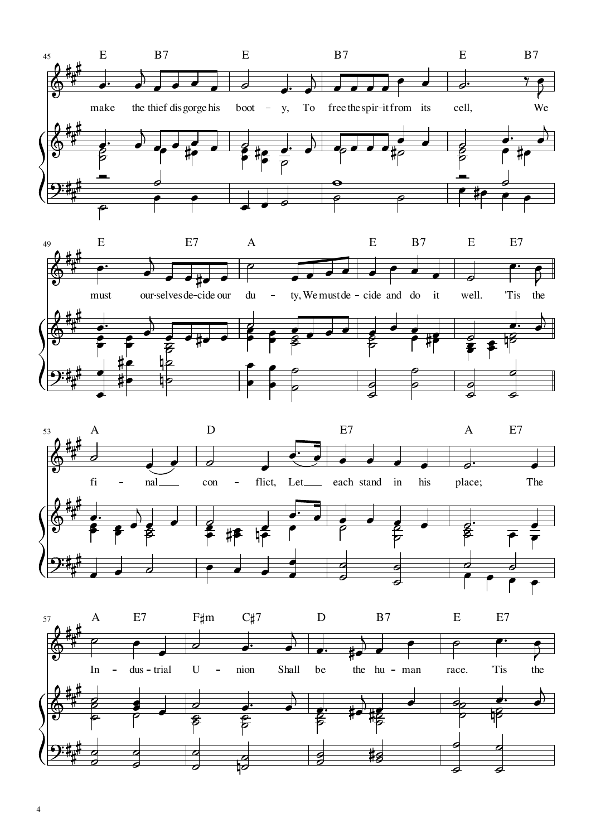





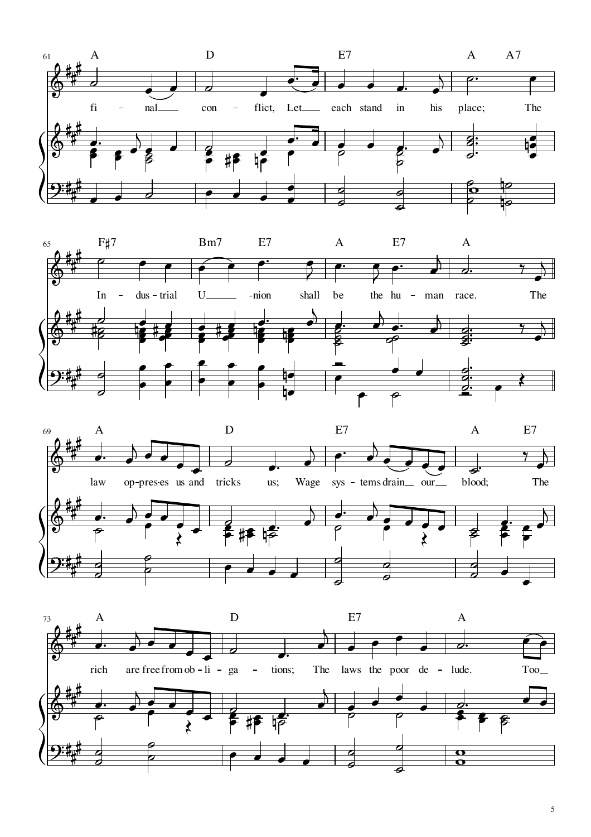





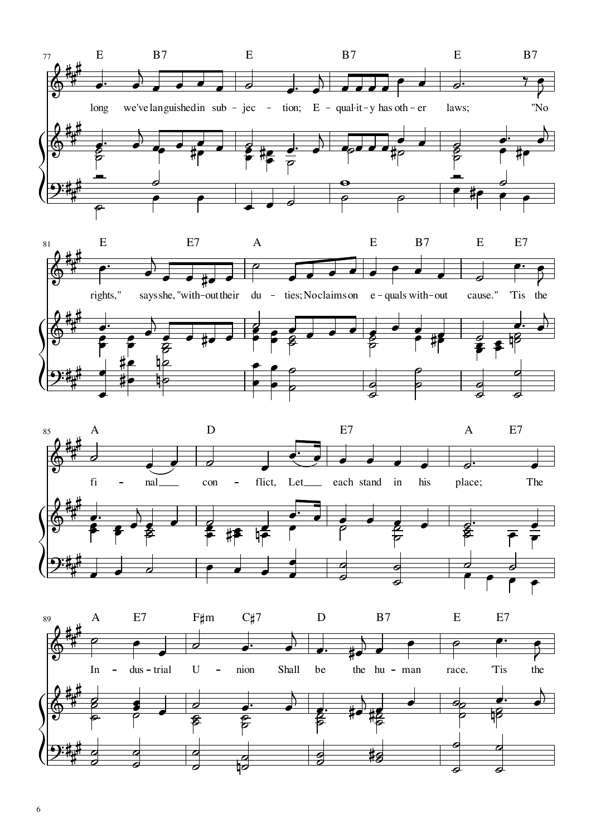





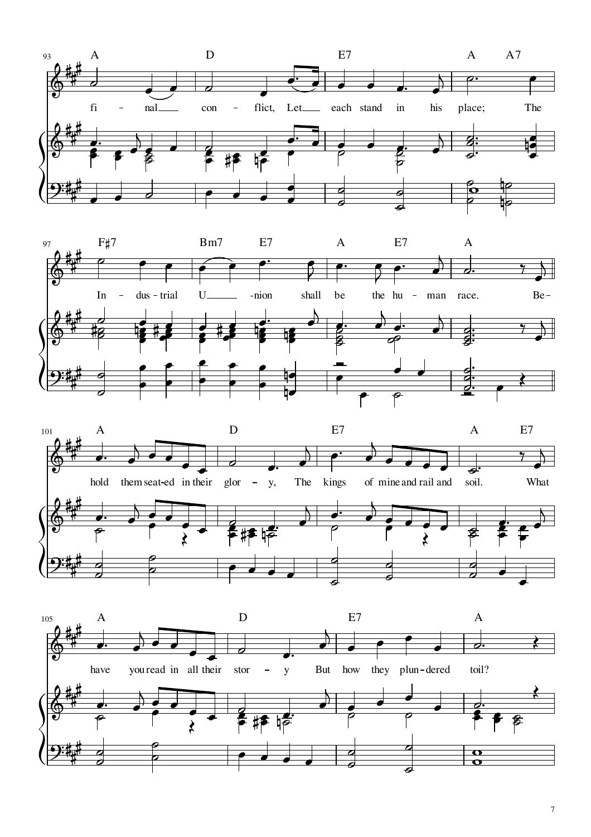





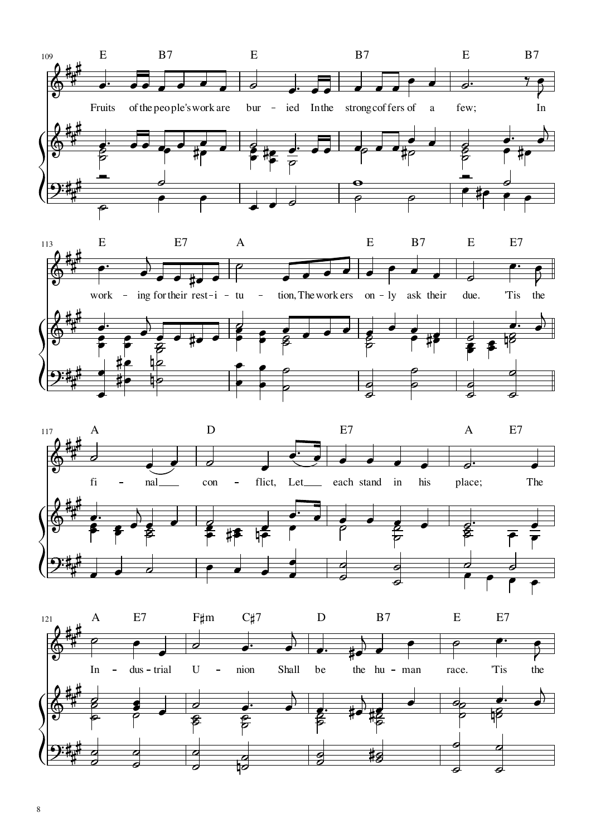





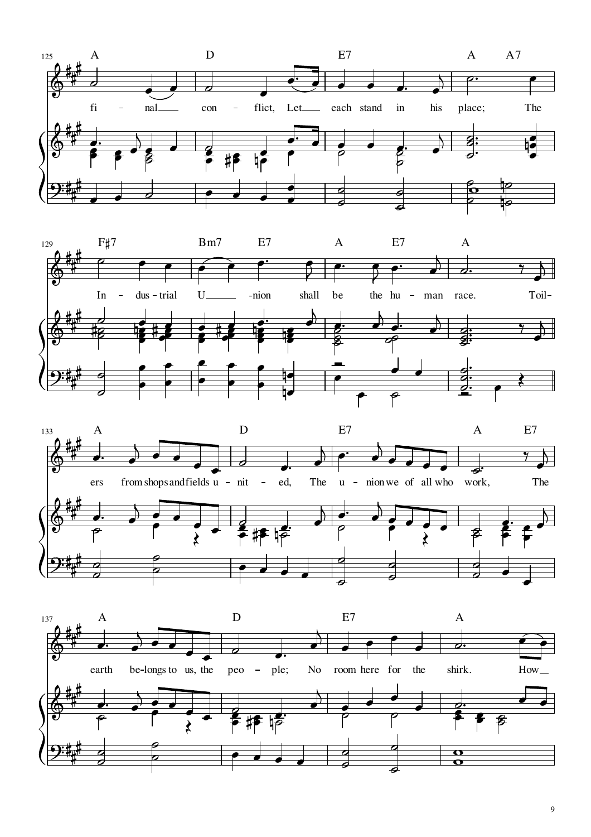





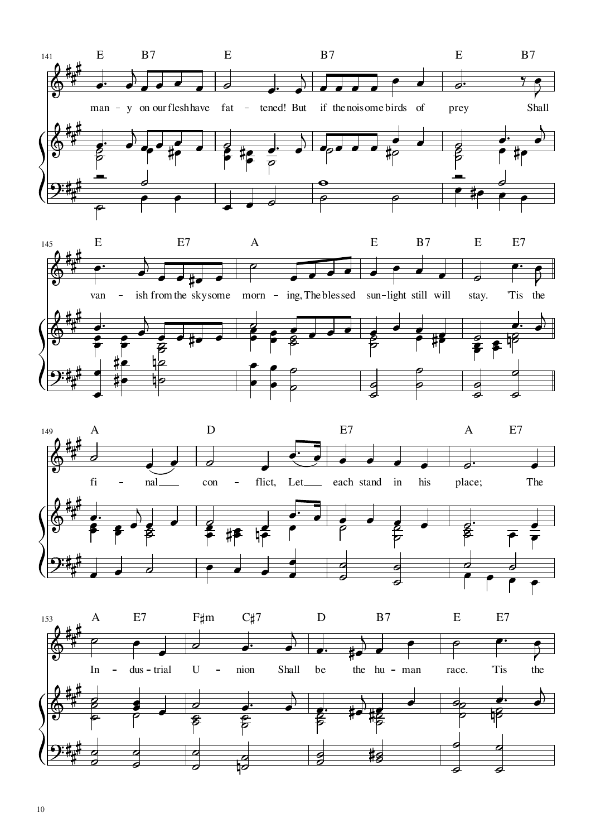





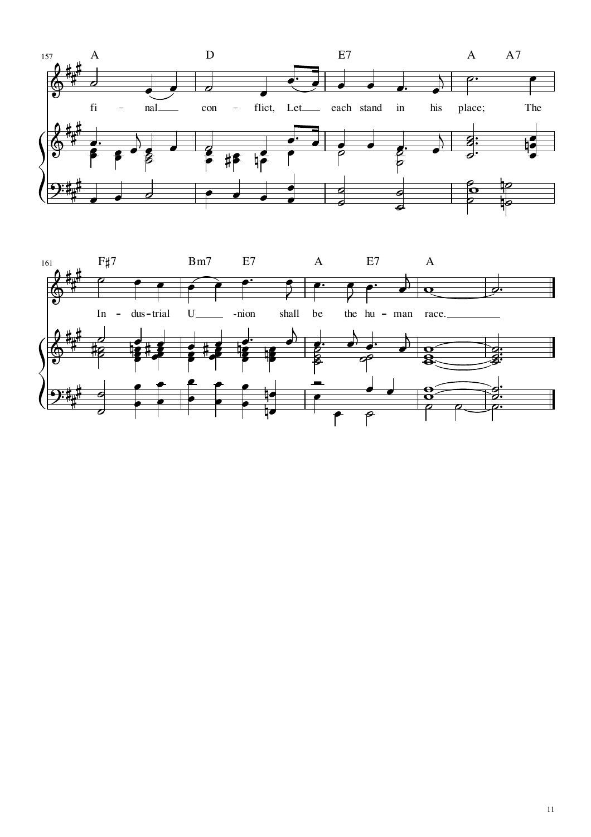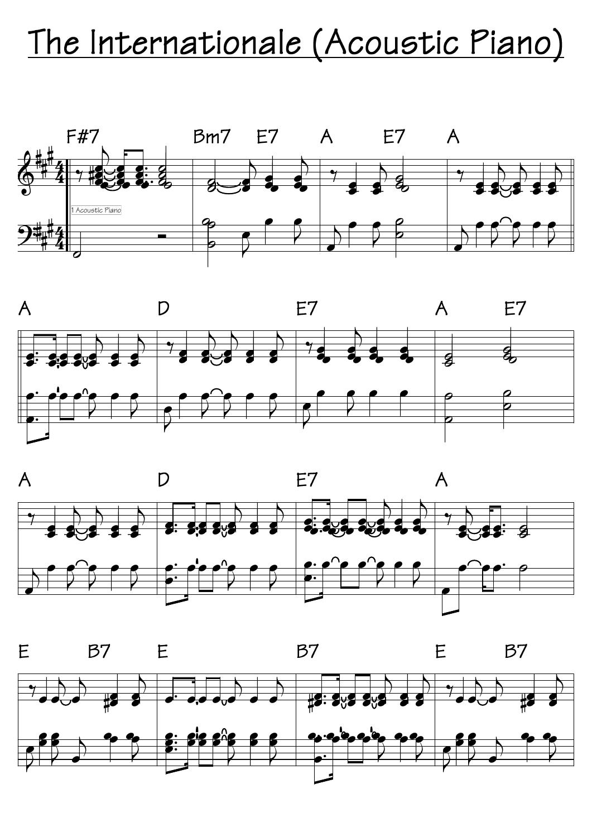## The Internationale (Acoustic Piano)







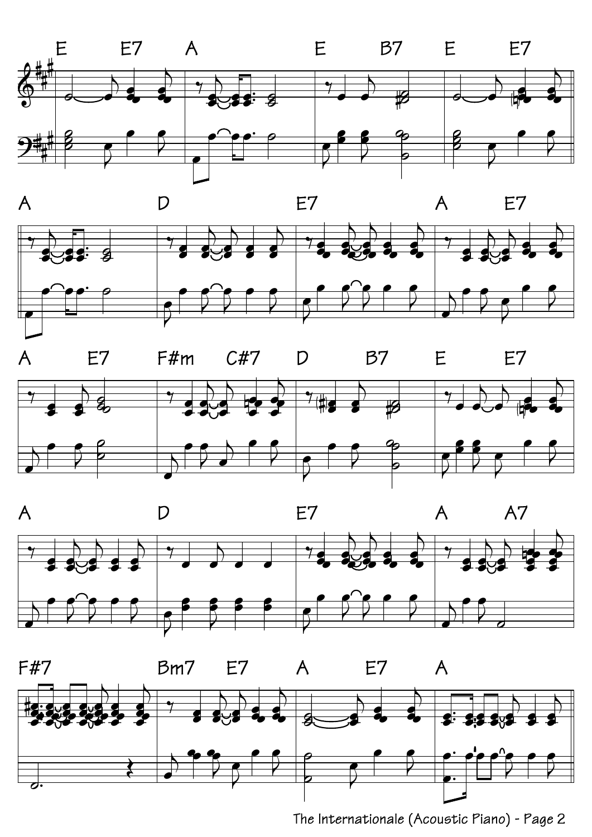









The Internationale (Acoustic Piano) - Page 2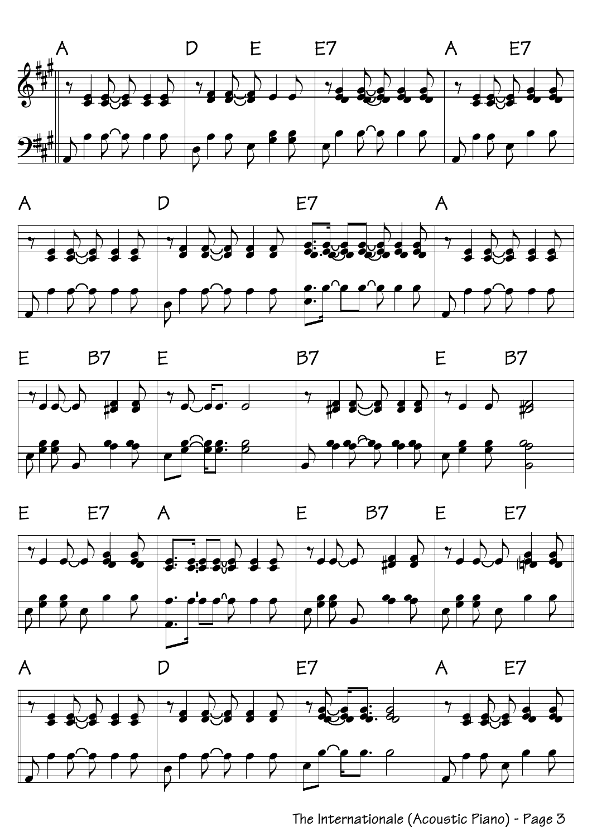









The Internationale (Acoustic Piano) - Page 3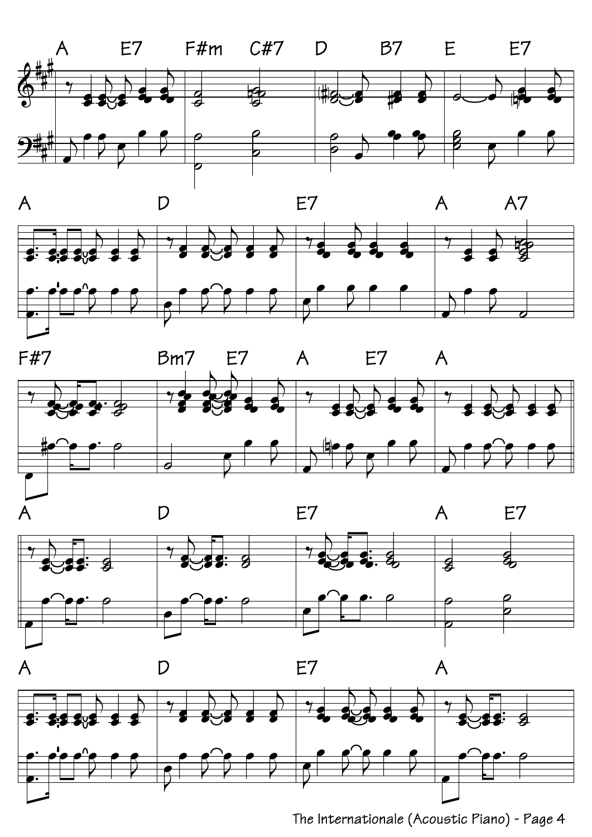









The Internationale (Acoustic Piano) - Page 4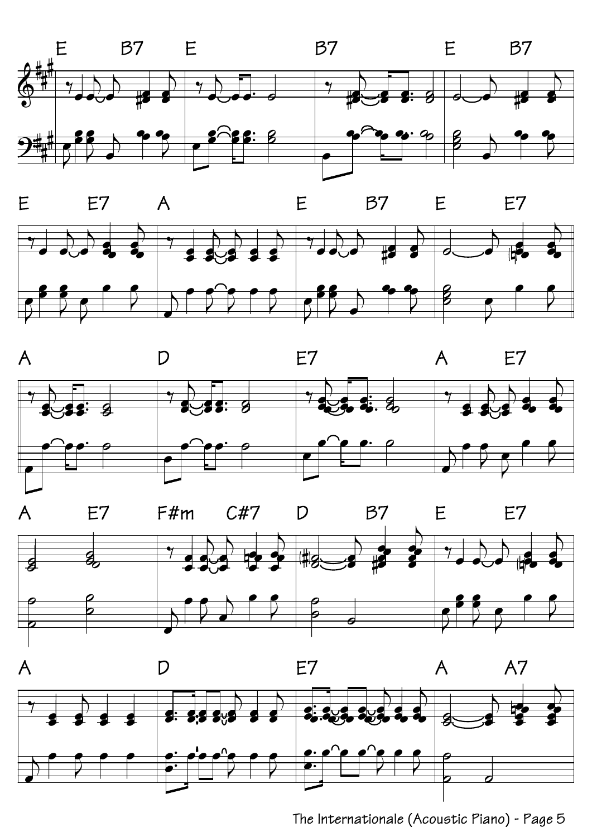









The Internationale (Acoustic Piano) - Page 5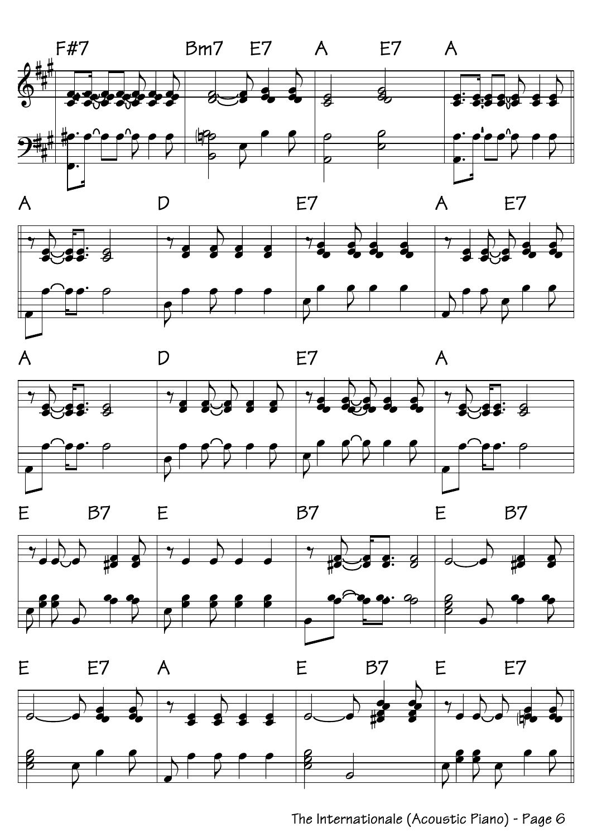









The Internationale (Acoustic Piano) - Page 6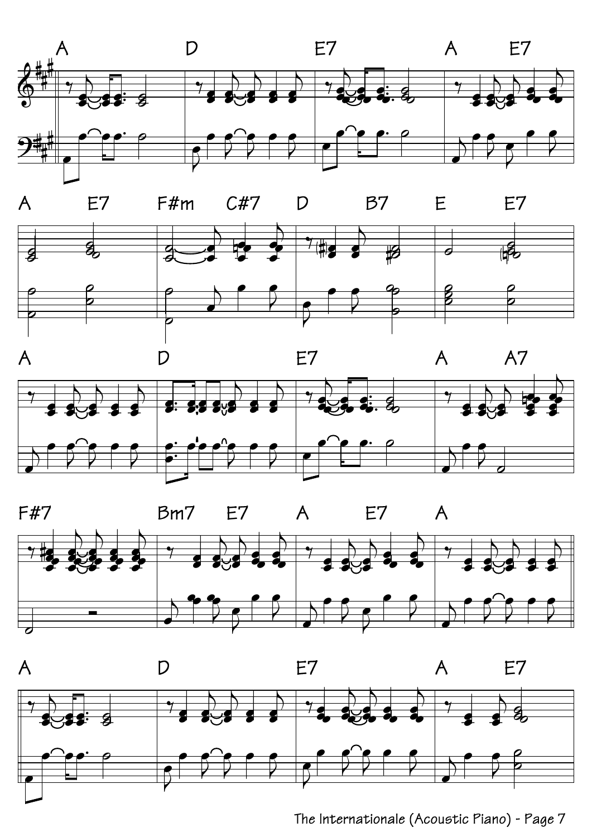









The Internationale (Acoustic Piano) - Page 7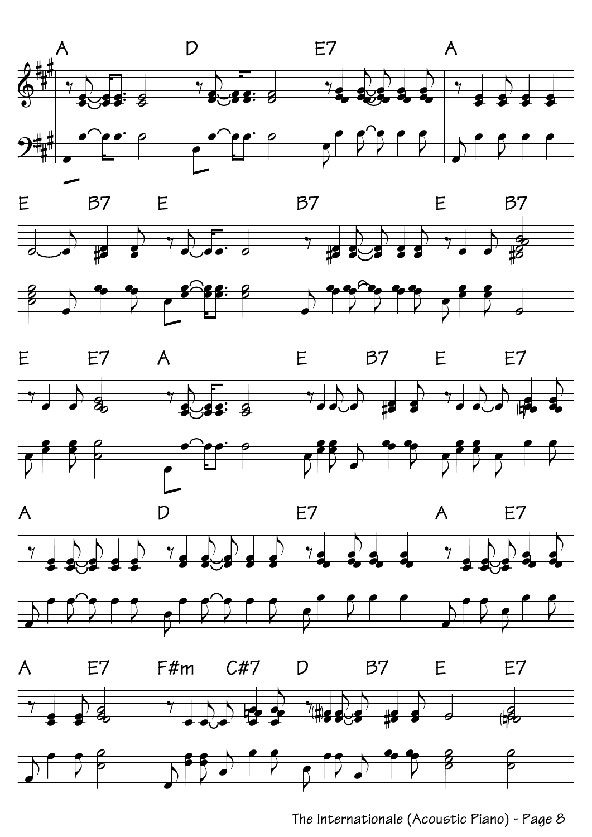









The Internationale (Acoustic Piano) - Page 8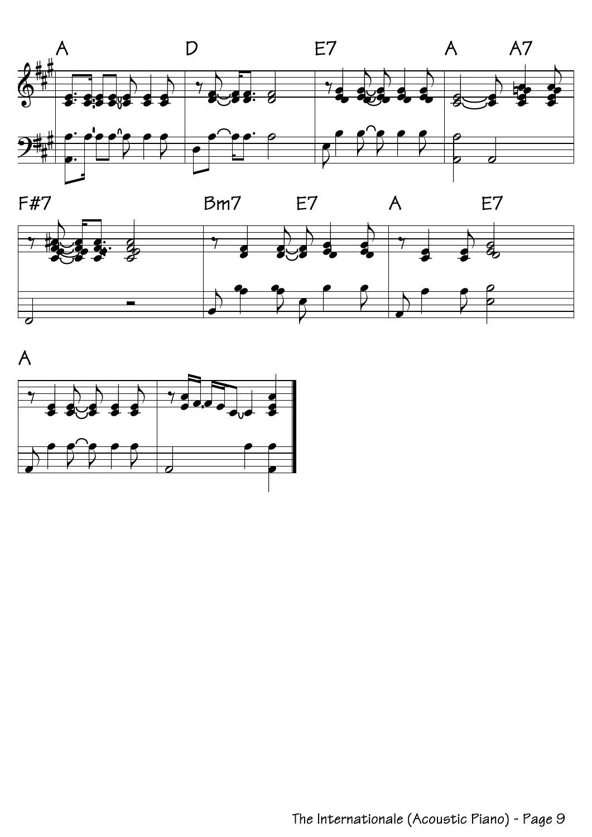



 $\overline{A}$ 

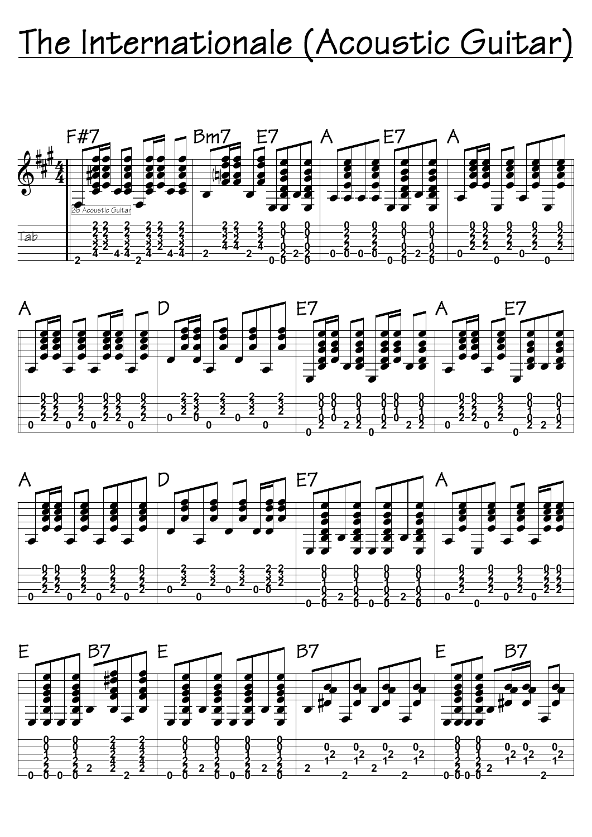# The Internationale (Acoustic Guitar)







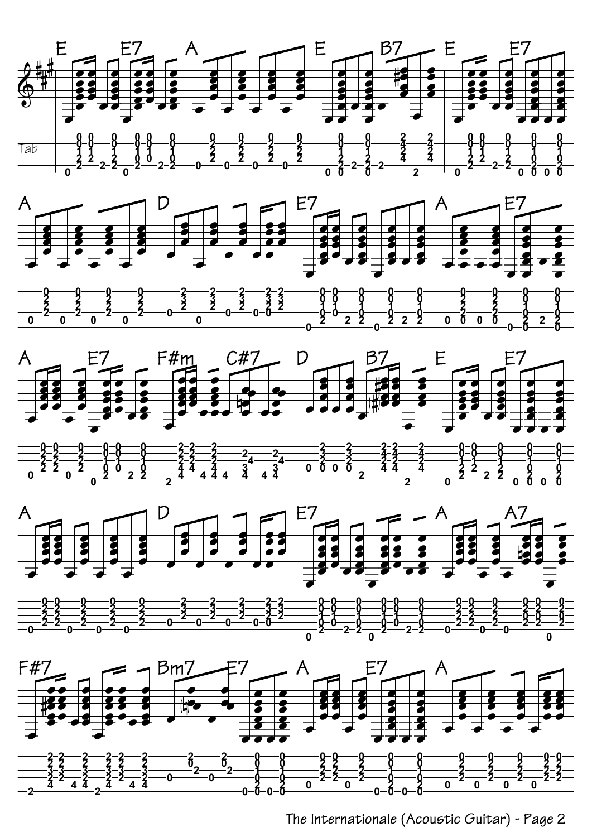









The Internationale (Acoustic Guitar) - Page 2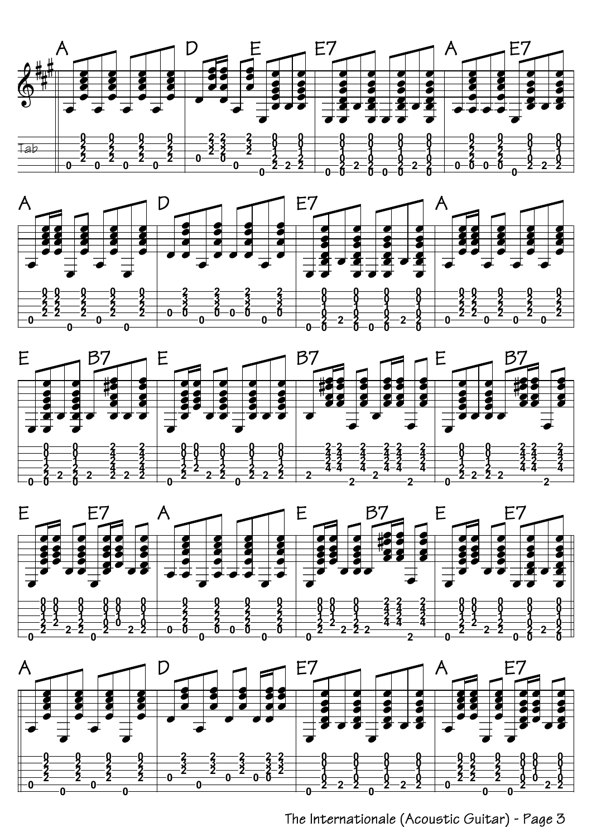









The Internationale (Acoustic Guitar) - Page 3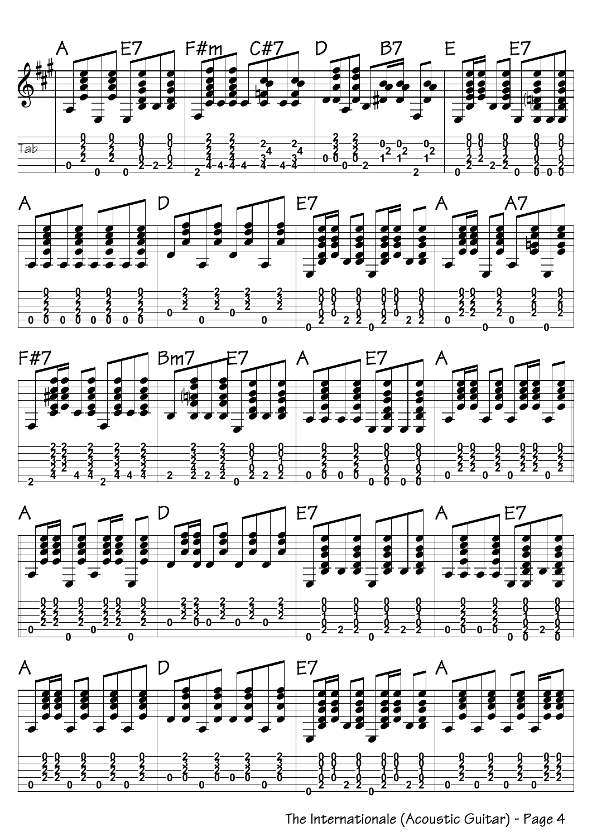









The Internationale (Acoustic Guitar) - Page 4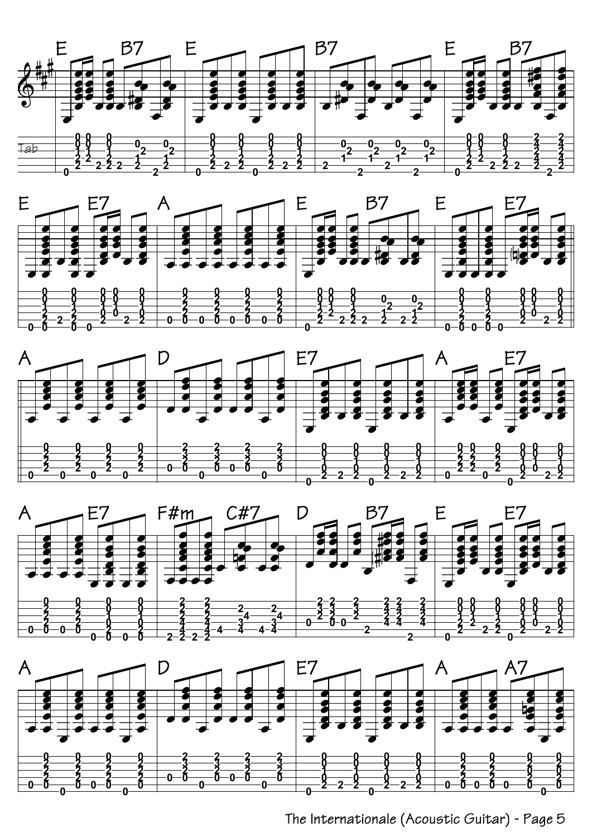









The Internationale (Acoustic Guitar) - Page 5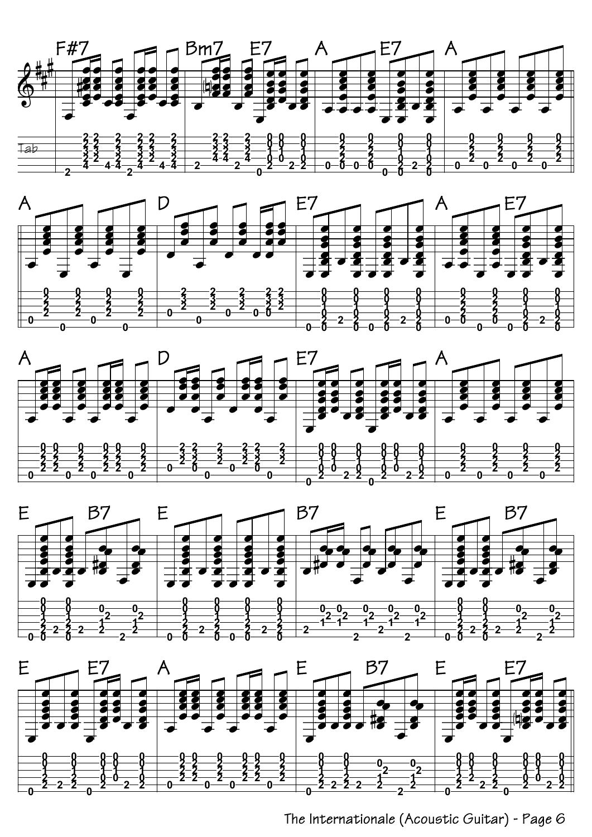









The Internationale (Acoustic Guitar) - Page 6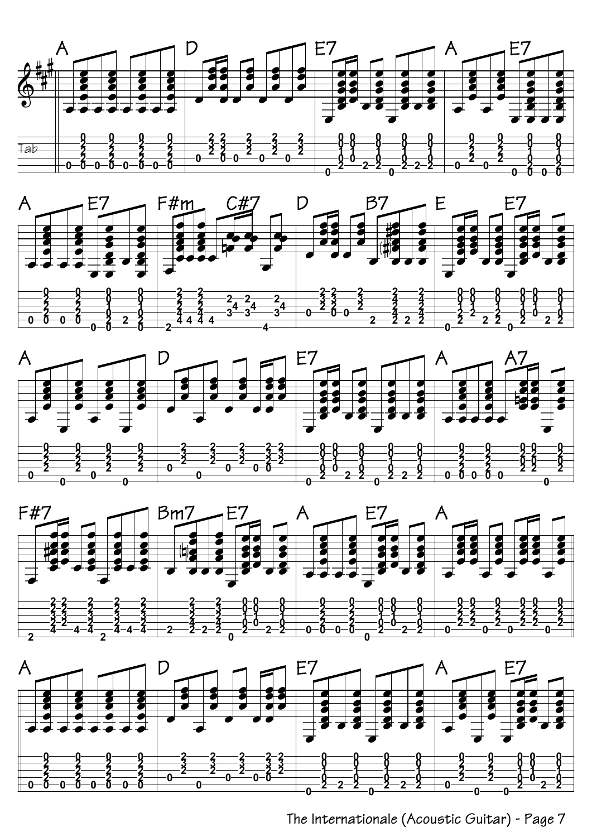









The Internationale (Acoustic Guitar) - Page 7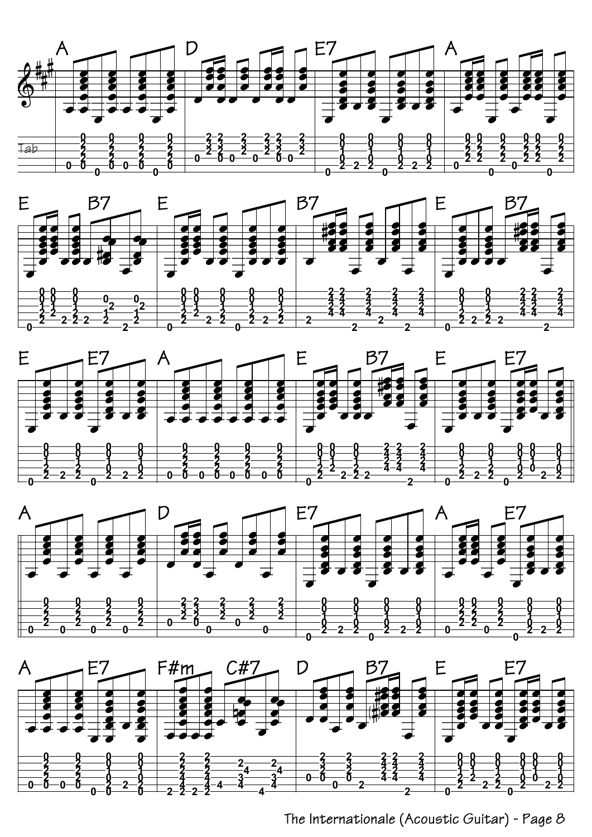









The Internationale (Acoustic Guitar) - Page 8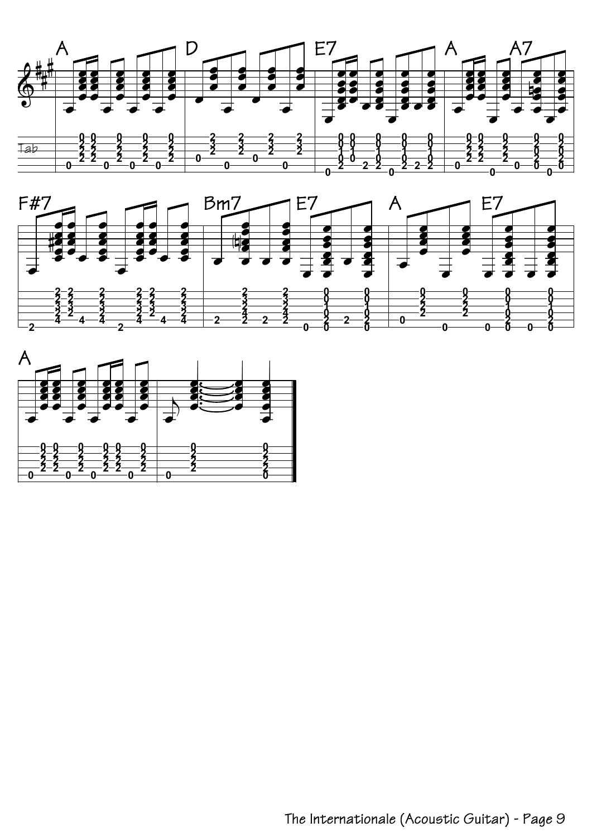



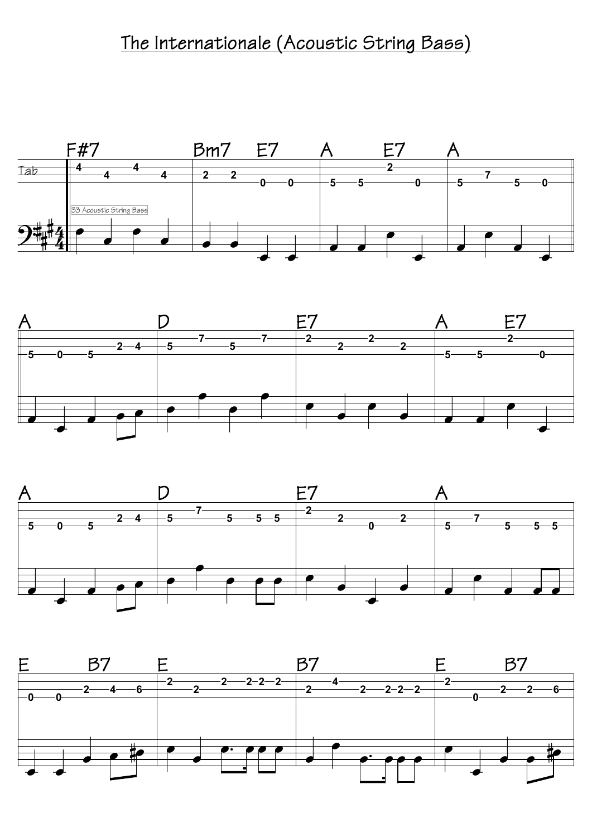### The Internationale (Acoustic String Bass)







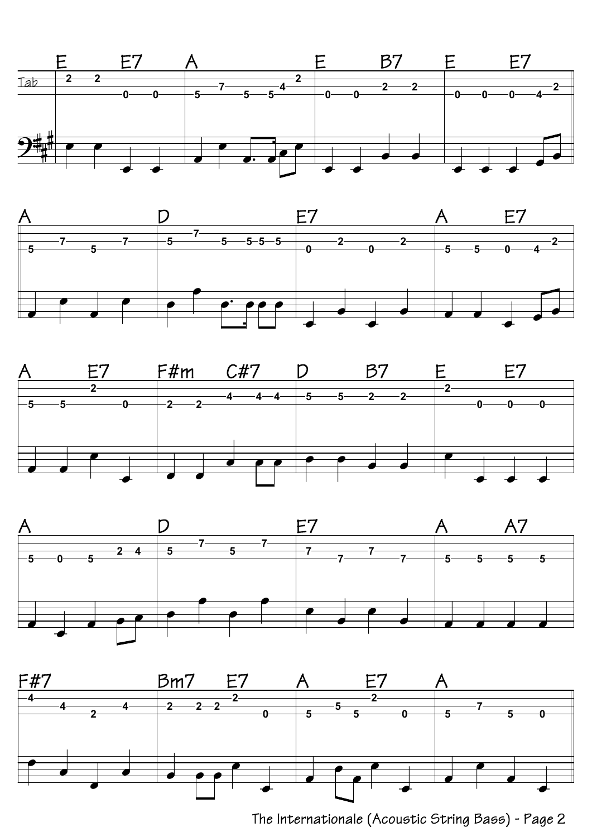









The Internationale (Acoustic String Bass) - Page 2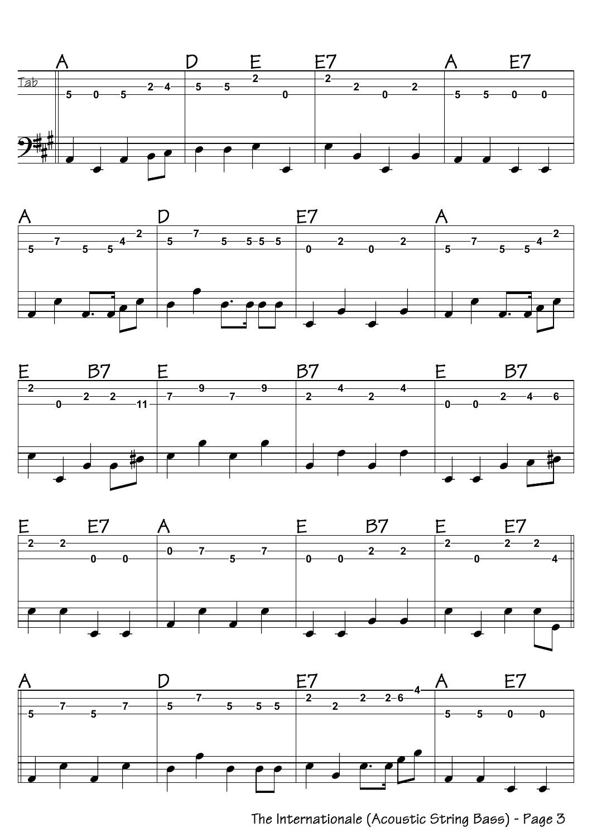









The Internationale (Acoustic String Bass) - Page 3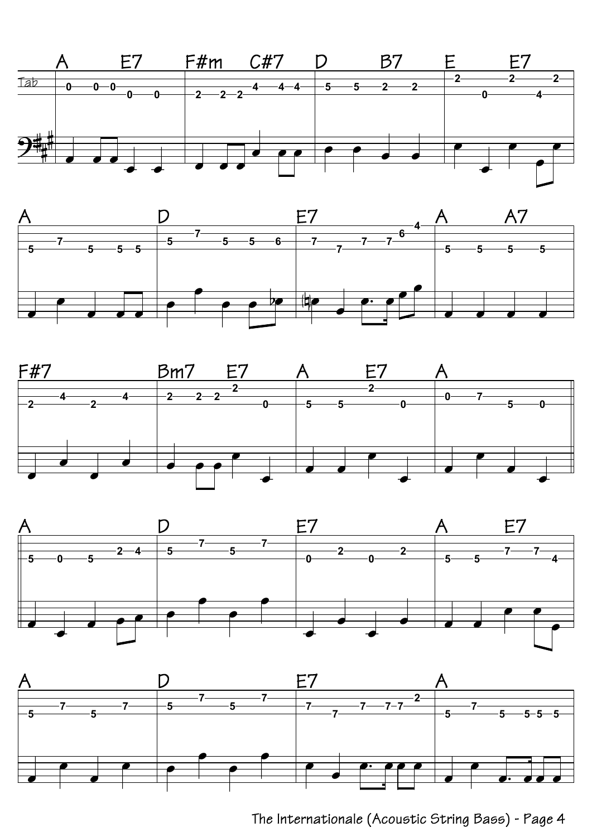









The Internationale (Acoustic String Bass) - Page 4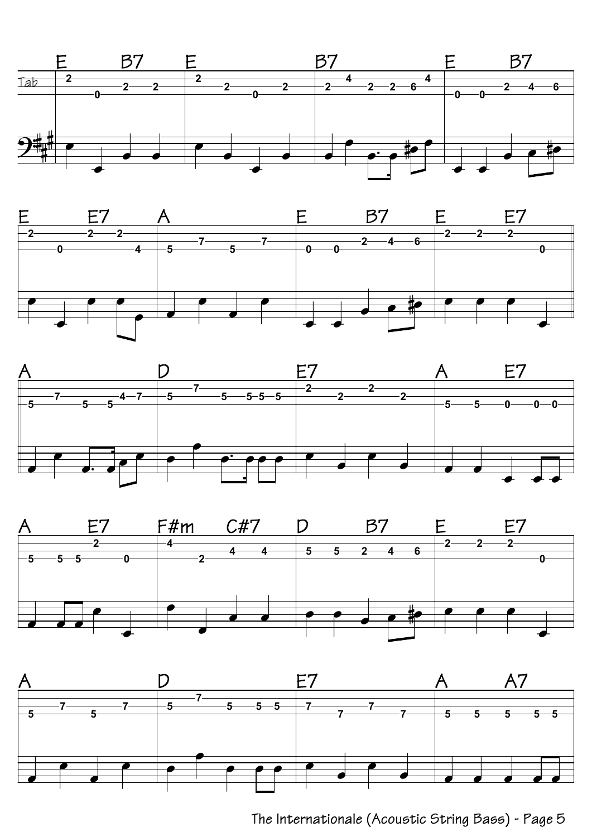









The Internationale (Acoustic String Bass) - Page 5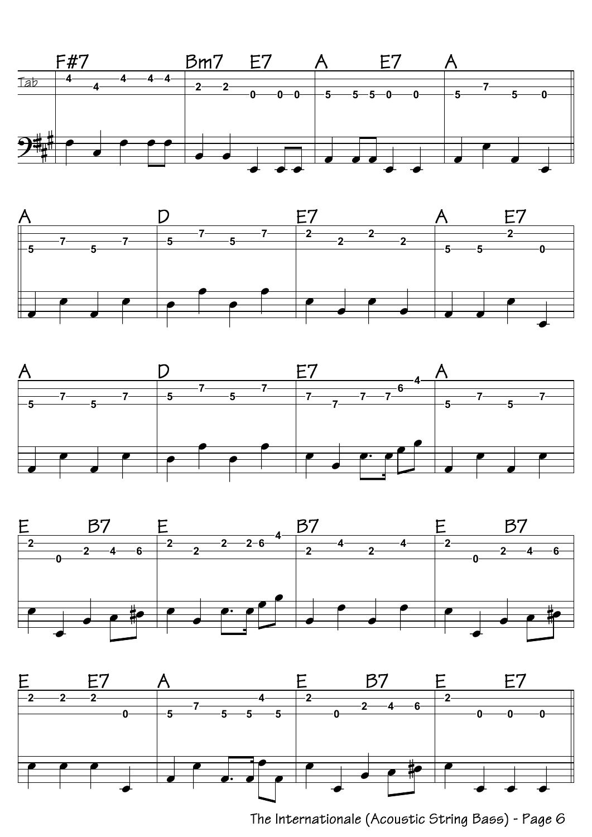









The Internationale (Acoustic String Bass) - Page 6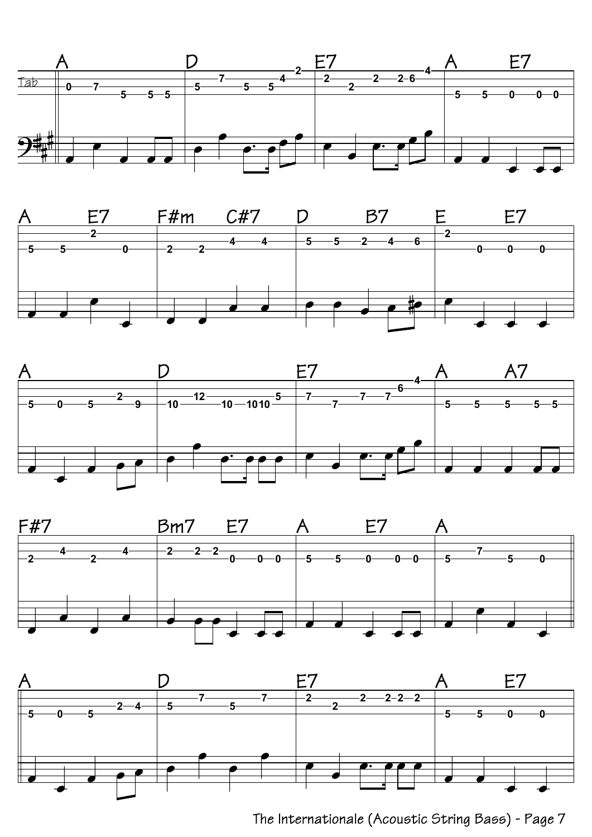









The Internationale (Acoustic String Bass) - Page 7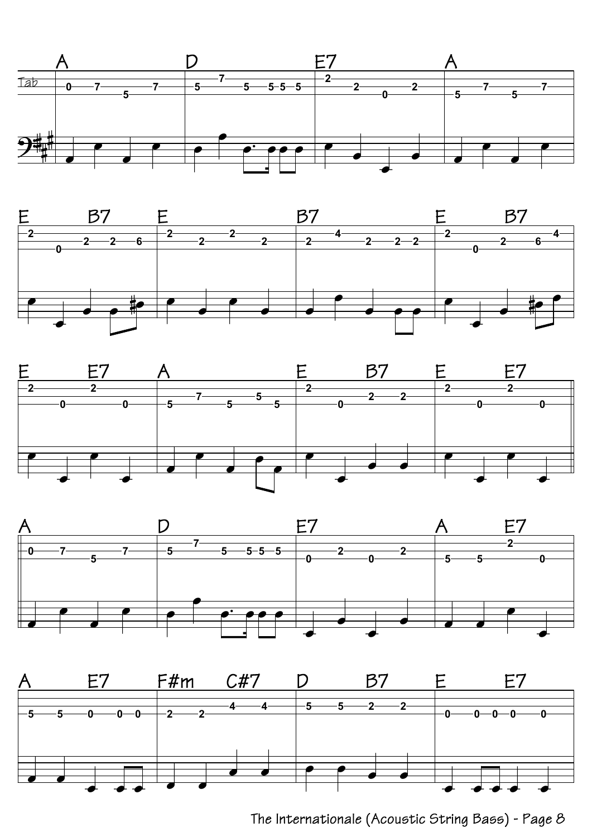









The Internationale (Acoustic String Bass) - Page 8